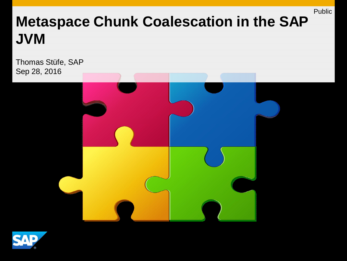# **Metaspace Chunk Coalescation in the SAP JVM**

Thomas Stüfe, SAP Sep 28, 2016



Public

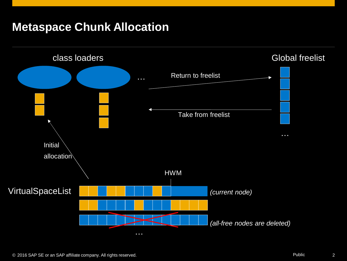#### **Metaspace Chunk Allocation**

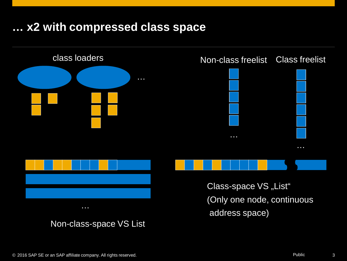#### **… x2 with compressed class space**

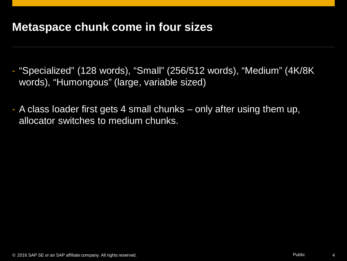#### **Metaspace chunk come in four sizes**

- "Specialized" (128 words), "Small" (256/512 words), "Medium" (4K/8K words), "Humongous" (large, variable sized)
- A class loader first gets 4 small chunks only after using them up, allocator switches to medium chunks.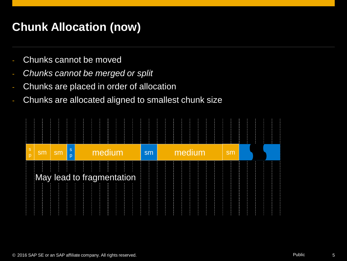# **Chunk Allocation (now)**

- Chunks cannot be moved
- *Chunks cannot be merged or split*
- Chunks are placed in order of allocation
- Chunks are allocated aligned to smallest chunk size

| ls,<br>$\mathsf{D}$ | sm | sm | <sub>S</sub><br>p | medium                                               | sm | medium | sm |  |
|---------------------|----|----|-------------------|------------------------------------------------------|----|--------|----|--|
|                     |    |    | ł.                | $\pm$<br>$\mathbb{R}^+$<br>May lead to fragmentation |    |        |    |  |
|                     |    |    |                   |                                                      |    |        |    |  |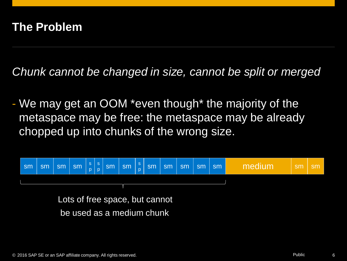#### **The Problem**

*Chunk cannot be changed in size, cannot be split or merged*

- We may get an OOM \*even though\* the majority of the metaspace may be free: the metaspace may be already chopped up into chunks of the wrong size.



be used as a medium chunk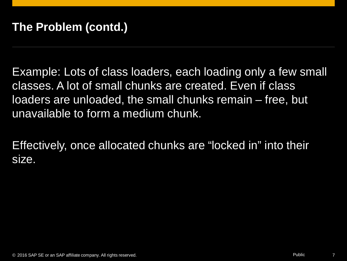Example: Lots of class loaders, each loading only a few small classes. A lot of small chunks are created. Even if class loaders are unloaded, the small chunks remain – free, but unavailable to form a medium chunk.

Effectively, once allocated chunks are "locked in" into their size.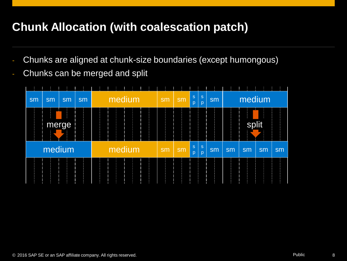## **Chunk Allocation (with coalescation patch)**

- Chunks are aligned at chunk-size boundaries (except humongous)
- Chunks can be merged and split

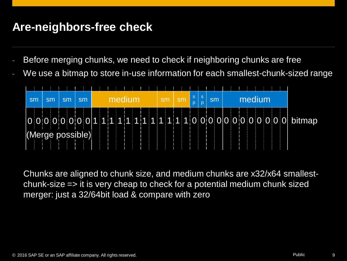#### **Are-neighbors-free check**

- Before merging chunks, we need to check if neighboring chunks are free
- We use a bitmap to store in-use information for each smallest-chunk-sized range



Chunks are aligned to chunk size, and medium chunks are x32/x64 smallestchunk-size => it is very cheap to check for a potential medium chunk sized merger: just a 32/64bit load & compare with zero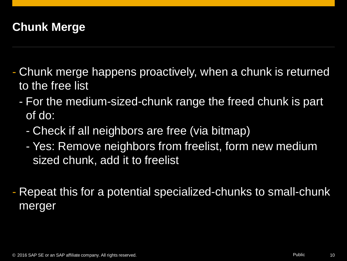# **Chunk Merge**

- Chunk merge happens proactively, when a chunk is returned to the free list
	- For the medium-sized-chunk range the freed chunk is part of do:
		- Check if all neighbors are free (via bitmap)
		- Yes: Remove neighbors from freelist, form new medium sized chunk, add it to freelist
- Repeat this for a potential specialized-chunks to small-chunk merger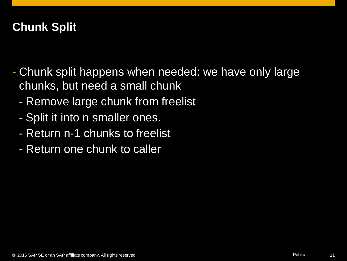# **Chunk Split**

- Chunk split happens when needed: we have only large chunks, but need a small chunk
	- Remove large chunk from freelist
	- Split it into n smaller ones.
	- Return n-1 chunks to freelist
	- Return one chunk to caller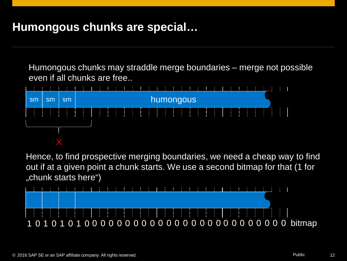#### **Humongous chunks are special…**

Humongous chunks may straddle merge boundaries – merge not possible even if all chunks are free..



Hence, to find prospective merging boundaries, we need a cheap way to find out if at a given point a chunk starts. We use a second bitmap for that (1 for "chunk starts here")

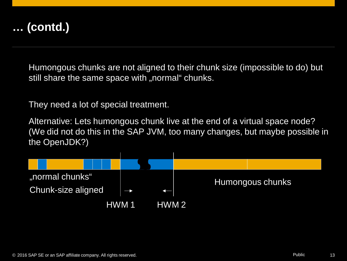

Humongous chunks are not aligned to their chunk size (impossible to do) but still share the same space with "normal" chunks.

They need a lot of special treatment.

Alternative: Lets humongous chunk live at the end of a virtual space node? (We did not do this in the SAP JVM, too many changes, but maybe possible in the OpenJDK?)

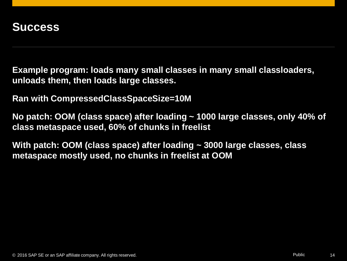**Example program: loads many small classes in many small classloaders, unloads them, then loads large classes.**

**Ran with CompressedClassSpaceSize=10M**

**No patch: OOM (class space) after loading ~ 1000 large classes, only 40% of class metaspace used, 60% of chunks in freelist**

**With patch: OOM (class space) after loading ~ 3000 large classes, class metaspace mostly used, no chunks in freelist at OOM**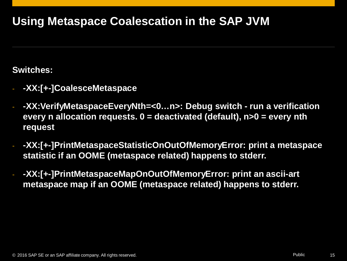## **Using Metaspace Coalescation in the SAP JVM**

#### **Switches:**

- **-XX:[+-]CoalesceMetaspace**
- **-XX:VerifyMetaspaceEveryNth=<0…n>: Debug switch run a verification every n allocation requests. 0 = deactivated (default), n>0 = every nth request**
- **-XX:[+-]PrintMetaspaceStatisticOnOutOfMemoryError: print a metaspace statistic if an OOME (metaspace related) happens to stderr.**
- **-XX:[+-]PrintMetaspaceMapOnOutOfMemoryError: print an ascii-art metaspace map if an OOME (metaspace related) happens to stderr.**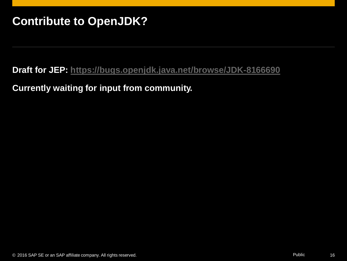### **Contribute to OpenJDK?**

#### **Draft for JEP: <https://bugs.openjdk.java.net/browse/JDK-8166690>**

#### **Currently waiting for input from community.**